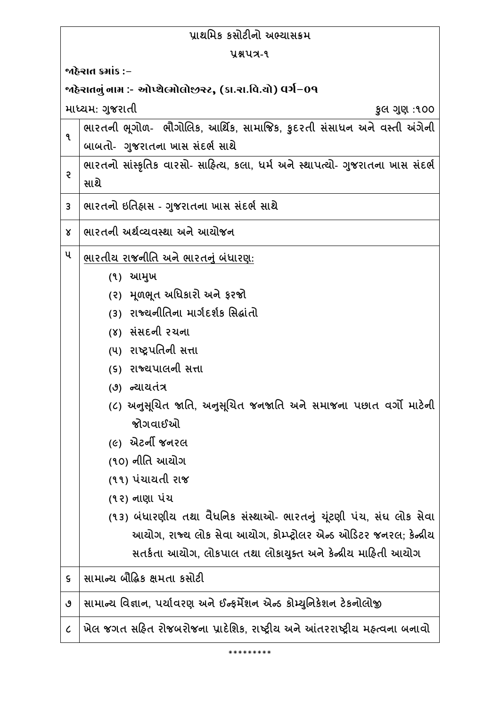| પાથમિક કસોટીનો અભ્યાસક્રમ                                   |                                                                                                           |
|-------------------------------------------------------------|-----------------------------------------------------------------------------------------------------------|
| yaux-9                                                      |                                                                                                           |
| જાહેરાત ક્રમાંક :−                                          |                                                                                                           |
| ર્જાહેરાતનું નામ :- ઓપ્શેલ્મોલોજીસ્ટ, (કા.રા.વિ.યો) વર્ગ−09 |                                                                                                           |
|                                                             | માધ્યમ: ગુજરાતી<br>કુલ ગુણ :૧૦૦                                                                           |
| ٩                                                           | ભારતની ભૂગોળ- ભૌગોલિક, આર્થિક, સામાજિક, કુદરતી સંસાધન અને વસ્તી અંગેની<br>બાબતો- ગુજરાતના ખાસ સંદર્ભ સાથે |
| ę.                                                          | ભારતનો સાંસ્કૃતિક વારસો- સાહિત્ય, કલા, ધર્મ અને સ્થાપત્યો- ગુજરાતના ખાસ સંદર્ભ<br>સાથે                    |
| 3                                                           | ભારતનો ઇતિહ્રાસ - ગુજરાતના ખાસ સંદર્ભ સાથે                                                                |
| Χ                                                           | ભારતની અર્થવ્યવસ્થા અને આયોજન                                                                             |
| ૫                                                           | ભારતીય રાજની <u>તિ અને ભારતનું બંધારણ</u> :                                                               |
|                                                             | (१) <b>આમુ</b> ખ                                                                                          |
|                                                             | (૨) મૂળભૂત અધિકારો અને ફરજો                                                                               |
|                                                             | (3) રાજ્યનીતિના માર્ગદર્શક સિદ્ધાંતો                                                                      |
|                                                             | (૪) સંસદની રચના                                                                                           |
|                                                             | (૫) રાષ્ટ્રપતિની સત્તા                                                                                    |
|                                                             | (૬) રાજ્યપાલની સત્તા                                                                                      |
|                                                             | (૭) ન્યાયતંત્ર                                                                                            |
|                                                             | (૮) અનુસૂચિત જાતિ, અનુસૂચિત જનજાતિ અને સમાજના પછાત વર્ગો માટેની                                           |
|                                                             | જોગવાઈઓ                                                                                                   |
|                                                             | (૯) એટર્ની જનરલ                                                                                           |
|                                                             | (૧૦) નીતિ આચોગ                                                                                            |
|                                                             | (૧૧) પંચાયતી રાજ                                                                                          |
|                                                             | (૧૨) નાણા પંચ                                                                                             |
|                                                             | (૧૩) બંધારણીય તથા વૈધનિક સંસ્થાઓ- ભારતનું યૂંટણી પંચ, સંઘ લોક સેવા                                        |
|                                                             | આયોગ, રાજ્ય લોક સેવા આયોગ, કોમ્પ્ટ્રોલર એન્ડ ઓડિટર જનરલ; કેન્ન્રીય                                        |
|                                                             | સતર્કતા આચોગ, લોકપાલ તથા લોકાચુક્ત અને કેન્દ્રીય માહિતી આચોગ                                              |
| ς                                                           | સામાન્ય બૌદ્ધિક ક્ષમતા કસોટી                                                                              |
| ৩                                                           | સામાન્ય વિજ્ઞાન, પર્યાવરણ અને ઈન્ફર્મેશન એન્ડ કોમ્યુનિકેશન ટેકનોલોજી                                      |
| $\mathcal C$                                                | ખેલ જગત સહિત રોજબરોજના પ્રાદેશિક, રાષ્ટ્રીય અને આંતરરાષ્ટ્રીય મહ્ત્વના બનાવો                              |

\*\*\*\*\*\*\*\*\*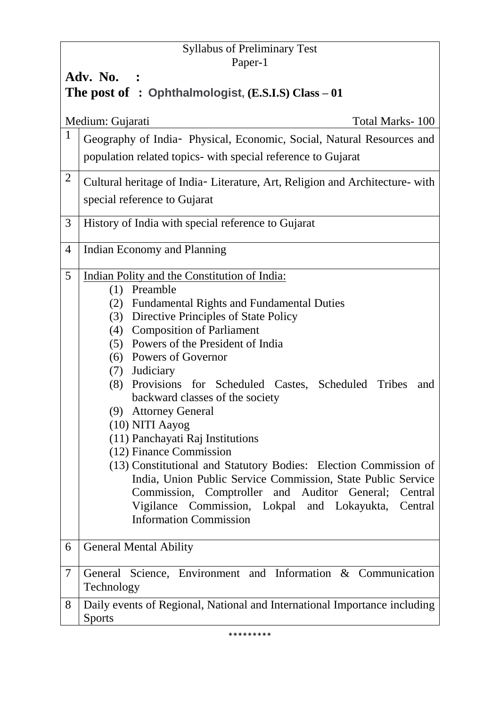# Syllabus of Preliminary Test Paper-1 **Adv. No. : The post of : Ophthalmologist, (E.S.I.S) Class – 01** Medium: Gujarati Total Marks- 100 <sup>1</sup> Geography of India- Physical, Economic, Social, Natural Resources and population related topics- with special reference to Gujarat <sup>2</sup> Cultural heritage of India- Literature, Art, Religion and Architecture- with special reference to Gujarat 3 History of India with special reference to Gujarat 4 Indian Economy and Planning 5 Indian Polity and the Constitution of India: (1) Preamble (2) Fundamental Rights and Fundamental Duties (3) Directive Principles of State Policy (4) Composition of Parliament (5) Powers of the President of India (6) Powers of Governor (7) Judiciary (8) Provisions for Scheduled Castes, Scheduled Tribes and backward classes of the society (9) Attorney General (10) NITI Aayog (11) Panchayati Raj Institutions (12) Finance Commission (13) Constitutional and Statutory Bodies: Election Commission of India, Union Public Service Commission, State Public Service Commission, Comptroller and Auditor General; Central Vigilance Commission, Lokpal and Lokayukta, Central Information Commission 6 General Mental Ability 7 General Science, Environment and Information & Communication Technology 8 Daily events of Regional, National and International Importance including Sports

\*\*\*\*\*\*\*\*\*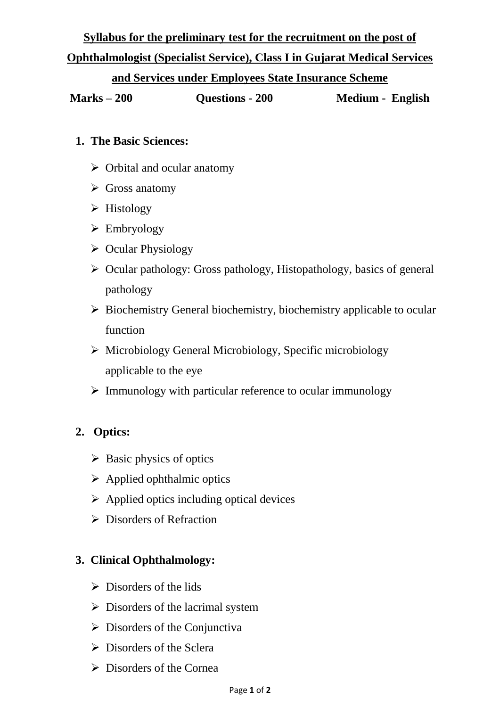# **Syllabus for the preliminary test for the recruitment on the post of**

# **Ophthalmologist (Specialist Service), Class I in Gujarat Medical Services**

#### **and Services under Employees State Insurance Scheme**

**Marks – 200 Questions - 200 Medium - English**

#### **1. The Basic Sciences:**

- $\triangleright$  Orbital and ocular anatomy
- $\triangleright$  Gross anatomy
- $\triangleright$  Histology
- $\triangleright$  Embryology
- $\triangleright$  Ocular Physiology
- $\triangleright$  Ocular pathology: Gross pathology, Histopathology, basics of general pathology
- $\triangleright$  Biochemistry General biochemistry, biochemistry applicable to ocular function
- $\triangleright$  Microbiology General Microbiology, Specific microbiology applicable to the eye
- $\triangleright$  Immunology with particular reference to ocular immunology

## **2. Optics:**

- $\triangleright$  Basic physics of optics
- $\triangleright$  Applied ophthalmic optics
- $\triangleright$  Applied optics including optical devices
- $\triangleright$  Disorders of Refraction

## **3. Clinical Ophthalmology:**

- $\triangleright$  Disorders of the lids
- $\triangleright$  Disorders of the lacrimal system
- $\triangleright$  Disorders of the Conjunctiva
- $\triangleright$  Disorders of the Sclera
- $\triangleright$  Disorders of the Cornea